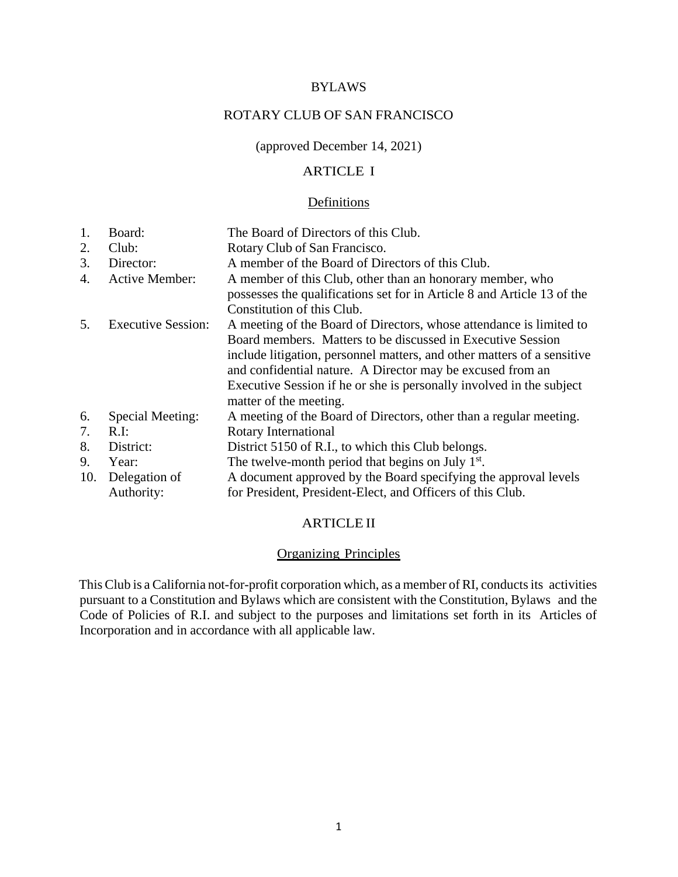#### BYLAWS

### ROTARY CLUB OF SAN FRANCISCO

(approved December 14, 2021)

## ARTICLE I

#### Definitions

1. Board: The Board of Directors of this Club. 2. Club: Rotary Club of San Francisco. 3. Director: A member of the Board of Directors of this Club. 4. Active Member: A member of this Club, other than an honorary member, who possesses the qualifications set for in Article 8 and Article 13 of the Constitution of this Club. 5. Executive Session: A meeting of the Board of Directors, whose attendance is limited to Board members. Matters to be discussed in Executive Session include litigation, personnel matters, and other matters of a sensitive and confidential nature. A Director may be excused from an Executive Session if he or she is personally involved in the subject matter of the meeting. 6. Special Meeting: A meeting of the Board of Directors, other than a regular meeting. 7. R.I: Rotary International 8. District: District 5150 of R.I., to which this Club belongs. 9. Year: The twelve-month period that begins on July  $1<sup>st</sup>$ . 10. Delegation of Authority: A document approved by the Board specifying the approval levels for President, President-Elect, and Officers of this Club.

#### ARTICLE II

## Organizing Principles

This Club is a California not-for-profit corporation which, as a member of RI, conducts its activities pursuant to a Constitution and Bylaws which are consistent with the Constitution, Bylaws and the Code of Policies of R.I. and subject to the purposes and limitations set forth in its Articles of Incorporation and in accordance with all applicable law.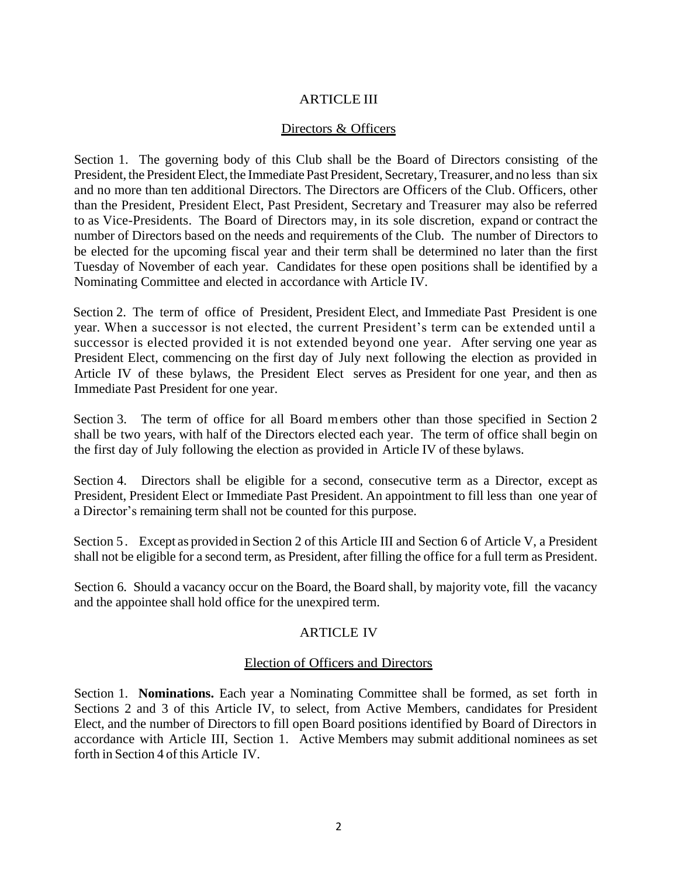# ARTICLE III

### Directors & Officers

Section 1. The governing body of this Club shall be the Board of Directors consisting of the President, the President Elect, the Immediate Past President, Secretary, Treasurer, and no less than six and no more than ten additional Directors. The Directors are Officers of the Club. Officers, other than the President, President Elect, Past President, Secretary and Treasurer may also be referred to as Vice-Presidents. The Board of Directors may, in its sole discretion, expand or contract the number of Directors based on the needs and requirements of the Club. The number of Directors to be elected for the upcoming fiscal year and their term shall be determined no later than the first Tuesday of November of each year. Candidates for these open positions shall be identified by a Nominating Committee and elected in accordance with Article IV.

Section 2. The term of office of President, President Elect, and Immediate Past President is one year. When a successor is not elected, the current President's term can be extended until a successor is elected provided it is not extended beyond one year. After serving one year as President Elect, commencing on the first day of July next following the election as provided in Article IV of these bylaws, the President Elect serves as President for one year, and then as Immediate Past President for one year.

Section 3. The term of office for all Board members other than those specified in Section 2 shall be two years, with half of the Directors elected each year. The term of office shall begin on the first day of July following the election as provided in Article IV of these bylaws.

Section 4. Directors shall be eligible for a second, consecutive term as a Director, except as President, President Elect or Immediate Past President. An appointment to fill less than one year of a Director's remaining term shall not be counted for this purpose.

Section 5. Except as provided in Section 2 of this Article III and Section 6 of Article V, a President shall not be eligible for a second term, as President, after filling the office for a full term as President.

Section 6. Should a vacancy occur on the Board, the Board shall, by majority vote, fill the vacancy and the appointee shall hold office for the unexpired term.

### ARTICLE IV

### Election of Officers and Directors

Section 1. **Nominations.** Each year a Nominating Committee shall be formed, as set forth in Sections 2 and 3 of this Article IV, to select, from Active Members, candidates for President Elect, and the number of Directors to fill open Board positions identified by Board of Directors in accordance with Article III, Section 1. Active Members may submit additional nominees as set forth in Section 4 of this Article IV.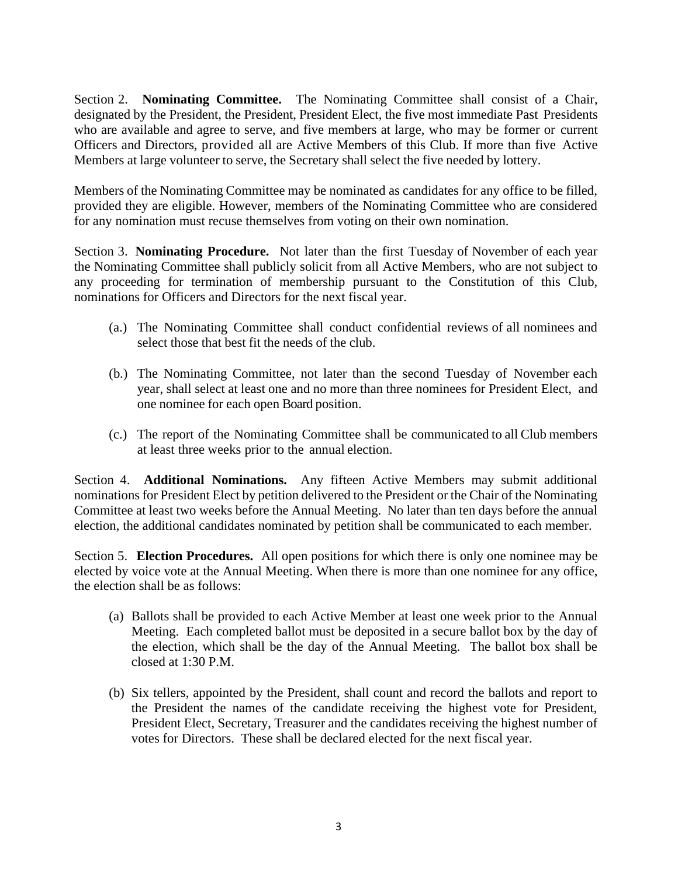Section 2. **Nominating Committee.** The Nominating Committee shall consist of a Chair, designated by the President, the President, President Elect, the five most immediate Past Presidents who are available and agree to serve, and five members at large, who may be former or current Officers and Directors, provided all are Active Members of this Club. If more than five Active Members at large volunteer to serve, the Secretary shall select the five needed by lottery.

Members of the Nominating Committee may be nominated as candidates for any office to be filled, provided they are eligible. However, members of the Nominating Committee who are considered for any nomination must recuse themselves from voting on their own nomination.

Section 3. **Nominating Procedure.** Not later than the first Tuesday of November of each year the Nominating Committee shall publicly solicit from all Active Members, who are not subject to any proceeding for termination of membership pursuant to the Constitution of this Club, nominations for Officers and Directors for the next fiscal year.

- (a.) The Nominating Committee shall conduct confidential reviews of all nominees and select those that best fit the needs of the club.
- (b.) The Nominating Committee, not later than the second Tuesday of November each year, shall select at least one and no more than three nominees for President Elect, and one nominee for each open Board position.
- (c.) The report of the Nominating Committee shall be communicated to all Club members at least three weeks prior to the annual election.

Section 4. **Additional Nominations.** Any fifteen Active Members may submit additional nominations for President Elect by petition delivered to the President or the Chair of the Nominating Committee at least two weeks before the Annual Meeting. No later than ten days before the annual election, the additional candidates nominated by petition shall be communicated to each member.

Section 5. **Election Procedures.** All open positions for which there is only one nominee may be elected by voice vote at the Annual Meeting. When there is more than one nominee for any office, the election shall be as follows:

- (a) Ballots shall be provided to each Active Member at least one week prior to the Annual Meeting. Each completed ballot must be deposited in a secure ballot box by the day of the election, which shall be the day of the Annual Meeting. The ballot box shall be closed at 1:30 P.M.
- (b) Six tellers, appointed by the President, shall count and record the ballots and report to the President the names of the candidate receiving the highest vote for President, President Elect, Secretary, Treasurer and the candidates receiving the highest number of votes for Directors. These shall be declared elected for the next fiscal year.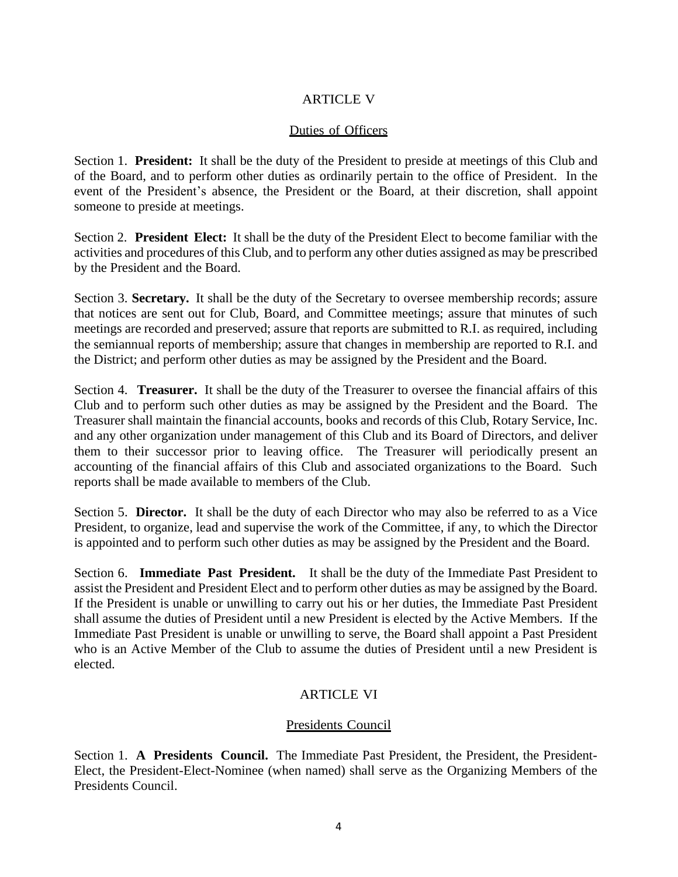# ARTICLE V

## Duties of Officers

Section 1. **President:** It shall be the duty of the President to preside at meetings of this Club and of the Board, and to perform other duties as ordinarily pertain to the office of President. In the event of the President's absence, the President or the Board, at their discretion, shall appoint someone to preside at meetings.

Section 2. **President Elect:** It shall be the duty of the President Elect to become familiar with the activities and procedures of this Club, and to perform any other duties assigned as may be prescribed by the President and the Board.

Section 3. **Secretary.** It shall be the duty of the Secretary to oversee membership records; assure that notices are sent out for Club, Board, and Committee meetings; assure that minutes of such meetings are recorded and preserved; assure that reports are submitted to R.I. as required, including the semiannual reports of membership; assure that changes in membership are reported to R.I. and the District; and perform other duties as may be assigned by the President and the Board.

Section 4. **Treasurer.** It shall be the duty of the Treasurer to oversee the financial affairs of this Club and to perform such other duties as may be assigned by the President and the Board. The Treasurer shall maintain the financial accounts, books and records of this Club, Rotary Service, Inc. and any other organization under management of this Club and its Board of Directors, and deliver them to their successor prior to leaving office. The Treasurer will periodically present an accounting of the financial affairs of this Club and associated organizations to the Board. Such reports shall be made available to members of the Club.

Section 5. **Director.** It shall be the duty of each Director who may also be referred to as a Vice President, to organize, lead and supervise the work of the Committee, if any, to which the Director is appointed and to perform such other duties as may be assigned by the President and the Board.

Section 6. **Immediate Past President.** It shall be the duty of the Immediate Past President to assist the President and President Elect and to perform other duties as may be assigned by the Board. If the President is unable or unwilling to carry out his or her duties, the Immediate Past President shall assume the duties of President until a new President is elected by the Active Members. If the Immediate Past President is unable or unwilling to serve, the Board shall appoint a Past President who is an Active Member of the Club to assume the duties of President until a new President is elected.

# ARTICLE VI

# Presidents Council

Section 1. **A Presidents Council.** The Immediate Past President, the President, the President-Elect, the President-Elect-Nominee (when named) shall serve as the Organizing Members of the Presidents Council.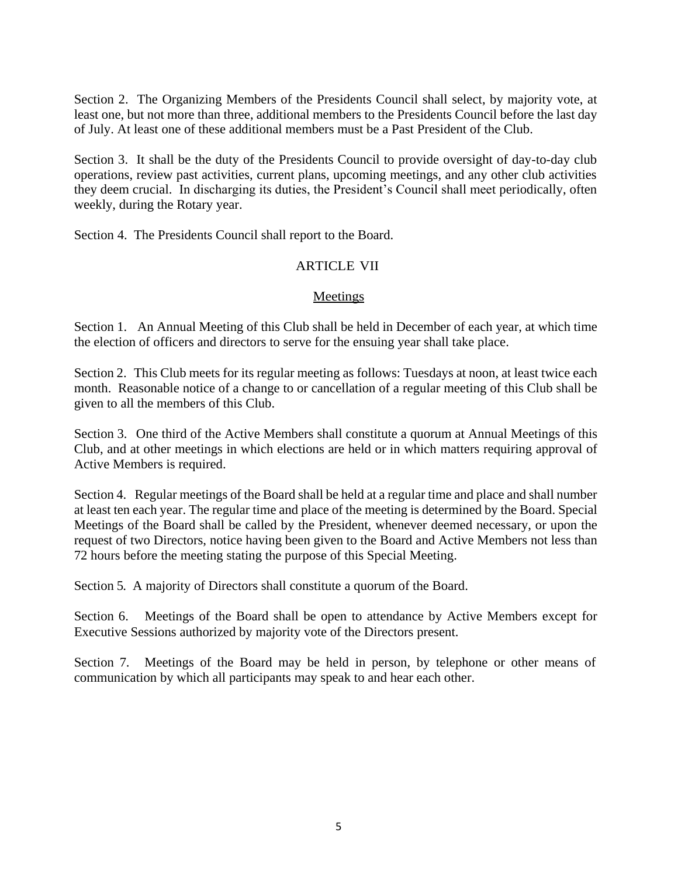Section 2. The Organizing Members of the Presidents Council shall select, by majority vote, at least one, but not more than three, additional members to the Presidents Council before the last day of July. At least one of these additional members must be a Past President of the Club.

Section 3. It shall be the duty of the Presidents Council to provide oversight of day-to-day club operations, review past activities, current plans, upcoming meetings, and any other club activities they deem crucial. In discharging its duties, the President's Council shall meet periodically, often weekly, during the Rotary year.

Section 4. The Presidents Council shall report to the Board.

## ARTICLE VII

### Meetings

Section 1. An Annual Meeting of this Club shall be held in December of each year, at which time the election of officers and directors to serve for the ensuing year shall take place.

Section 2. This Club meets for its regular meeting as follows: Tuesdays at noon, at least twice each month. Reasonable notice of a change to or cancellation of a regular meeting of this Club shall be given to all the members of this Club.

Section 3. One third of the Active Members shall constitute a quorum at Annual Meetings of this Club, and at other meetings in which elections are held or in which matters requiring approval of Active Members is required.

Section 4. Regular meetings of the Board shall be held at a regular time and place and shall number at least ten each year. The regular time and place of the meeting is determined by the Board. Special Meetings of the Board shall be called by the President, whenever deemed necessary, or upon the request of two Directors, notice having been given to the Board and Active Members not less than 72 hours before the meeting stating the purpose of this Special Meeting.

Section 5. A majority of Directors shall constitute a quorum of the Board.

Section 6. Meetings of the Board shall be open to attendance by Active Members except for Executive Sessions authorized by majority vote of the Directors present.

Section 7. Meetings of the Board may be held in person, by telephone or other means of communication by which all participants may speak to and hear each other.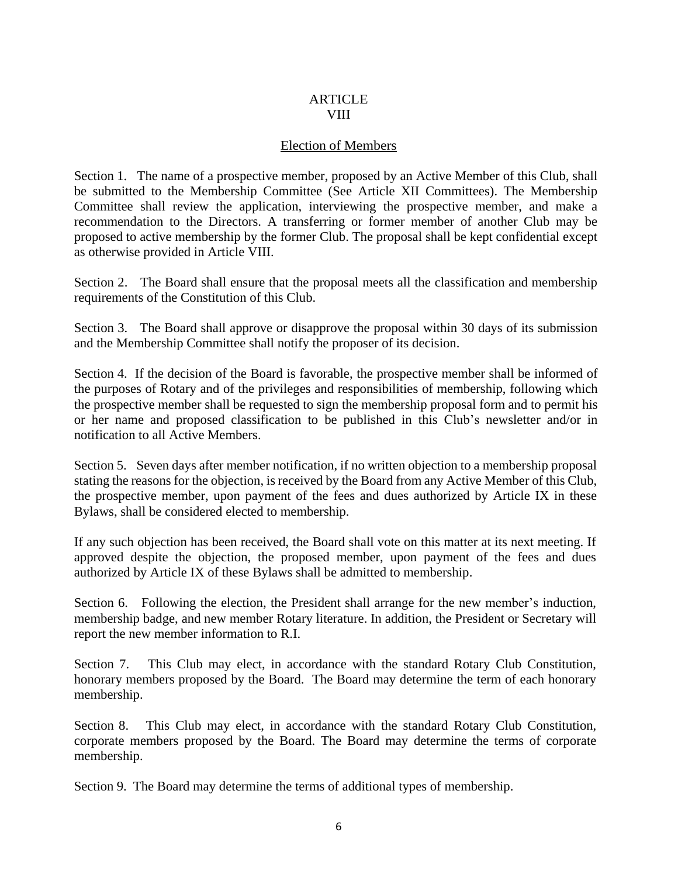### **ARTICLE** VIII

## Election of Members

Section 1. The name of a prospective member, proposed by an Active Member of this Club, shall be submitted to the Membership Committee (See Article XII Committees). The Membership Committee shall review the application, interviewing the prospective member, and make a recommendation to the Directors. A transferring or former member of another Club may be proposed to active membership by the former Club. The proposal shall be kept confidential except as otherwise provided in Article VIII.

Section 2. The Board shall ensure that the proposal meets all the classification and membership requirements of the Constitution of this Club.

Section 3. The Board shall approve or disapprove the proposal within 30 days of its submission and the Membership Committee shall notify the proposer of its decision.

Section 4. If the decision of the Board is favorable, the prospective member shall be informed of the purposes of Rotary and of the privileges and responsibilities of membership, following which the prospective member shall be requested to sign the membership proposal form and to permit his or her name and proposed classification to be published in this Club's newsletter and/or in notification to all Active Members.

Section 5. Seven days after member notification, if no written objection to a membership proposal stating the reasons for the objection, is received by the Board from any Active Member of this Club, the prospective member, upon payment of the fees and dues authorized by Article IX in these Bylaws, shall be considered elected to membership.

If any such objection has been received, the Board shall vote on this matter at its next meeting. If approved despite the objection, the proposed member, upon payment of the fees and dues authorized by Article IX of these Bylaws shall be admitted to membership.

Section 6. Following the election, the President shall arrange for the new member's induction, membership badge, and new member Rotary literature. In addition, the President or Secretary will report the new member information to R.I.

Section 7. This Club may elect, in accordance with the standard Rotary Club Constitution, honorary members proposed by the Board. The Board may determine the term of each honorary membership.

Section 8. This Club may elect, in accordance with the standard Rotary Club Constitution, corporate members proposed by the Board. The Board may determine the terms of corporate membership.

Section 9. The Board may determine the terms of additional types of membership.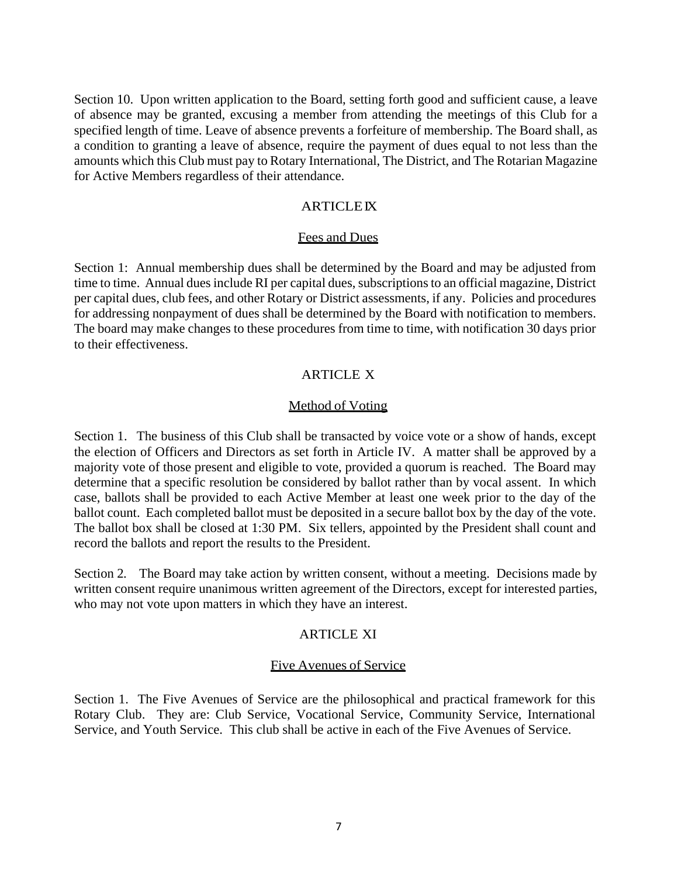Section 10. Upon written application to the Board, setting forth good and sufficient cause, a leave of absence may be granted, excusing a member from attending the meetings of this Club for a specified length of time. Leave of absence prevents a forfeiture of membership. The Board shall, as a condition to granting a leave of absence, require the payment of dues equal to not less than the amounts which this Club must pay to Rotary International, The District, and The Rotarian Magazine for Active Members regardless of their attendance.

### **ARTICLEIX**

#### Fees and Dues

Section 1: Annual membership dues shall be determined by the Board and may be adjusted from time to time. Annual dues include RI per capital dues, subscriptions to an official magazine, District per capital dues, club fees, and other Rotary or District assessments, if any. Policies and procedures for addressing nonpayment of dues shall be determined by the Board with notification to members. The board may make changes to these procedures from time to time, with notification 30 days prior to their effectiveness.

### **ARTICLE X**

#### Method of Voting

Section 1. The business of this Club shall be transacted by voice vote or a show of hands, except the election of Officers and Directors as set forth in Article IV. A matter shall be approved by a majority vote of those present and eligible to vote, provided a quorum is reached. The Board may determine that a specific resolution be considered by ballot rather than by vocal assent. In which case, ballots shall be provided to each Active Member at least one week prior to the day of the ballot count. Each completed ballot must be deposited in a secure ballot box by the day of the vote. The ballot box shall be closed at 1:30 PM. Six tellers, appointed by the President shall count and record the ballots and report the results to the President.

Section 2. The Board may take action by written consent, without a meeting. Decisions made by written consent require unanimous written agreement of the Directors, except for interested parties, who may not vote upon matters in which they have an interest.

### ARTICLE XI

#### Five Avenues of Service

Section 1. The Five Avenues of Service are the philosophical and practical framework for this Rotary Club. They are: Club Service, Vocational Service, Community Service, International Service, and Youth Service. This club shall be active in each of the Five Avenues of Service.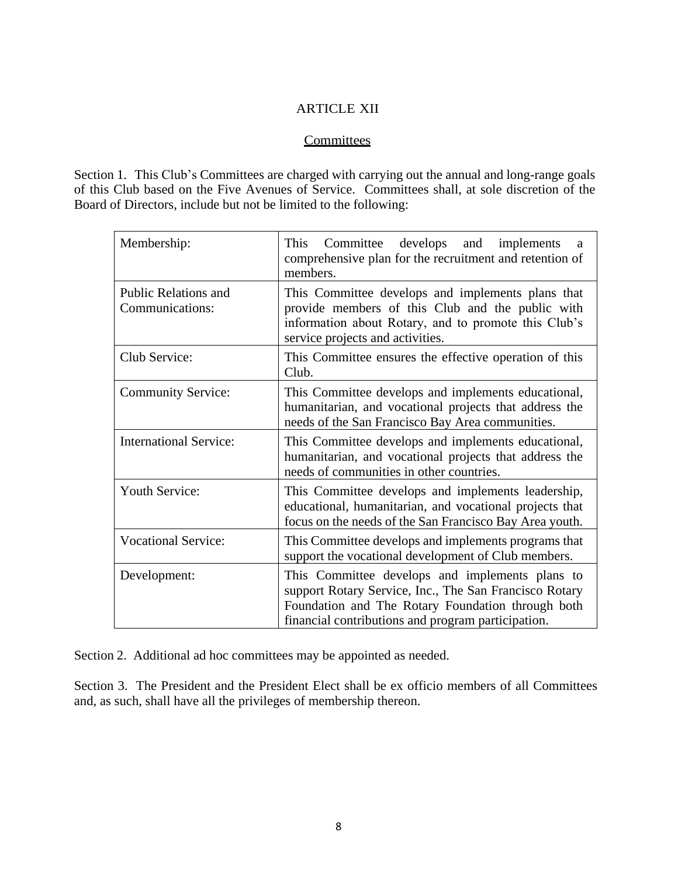## ARTICLE XII

## **Committees**

Section 1. This Club's Committees are charged with carrying out the annual and long-range goals of this Club based on the Five Avenues of Service. Committees shall, at sole discretion of the Board of Directors, include but not be limited to the following:

| Membership:                                    | Committee develops<br>This<br>and implements<br>a<br>comprehensive plan for the recruitment and retention of<br>members.                                                                                             |
|------------------------------------------------|----------------------------------------------------------------------------------------------------------------------------------------------------------------------------------------------------------------------|
| <b>Public Relations and</b><br>Communications: | This Committee develops and implements plans that<br>provide members of this Club and the public with<br>information about Rotary, and to promote this Club's<br>service projects and activities.                    |
| Club Service:                                  | This Committee ensures the effective operation of this<br>Club.                                                                                                                                                      |
| <b>Community Service:</b>                      | This Committee develops and implements educational,<br>humanitarian, and vocational projects that address the<br>needs of the San Francisco Bay Area communities.                                                    |
| <b>International Service:</b>                  | This Committee develops and implements educational,<br>humanitarian, and vocational projects that address the<br>needs of communities in other countries.                                                            |
| <b>Youth Service:</b>                          | This Committee develops and implements leadership,<br>educational, humanitarian, and vocational projects that<br>focus on the needs of the San Francisco Bay Area youth.                                             |
| <b>Vocational Service:</b>                     | This Committee develops and implements programs that<br>support the vocational development of Club members.                                                                                                          |
| Development:                                   | This Committee develops and implements plans to<br>support Rotary Service, Inc., The San Francisco Rotary<br>Foundation and The Rotary Foundation through both<br>financial contributions and program participation. |

Section 2. Additional ad hoc committees may be appointed as needed.

Section 3. The President and the President Elect shall be ex officio members of all Committees and, as such, shall have all the privileges of membership thereon.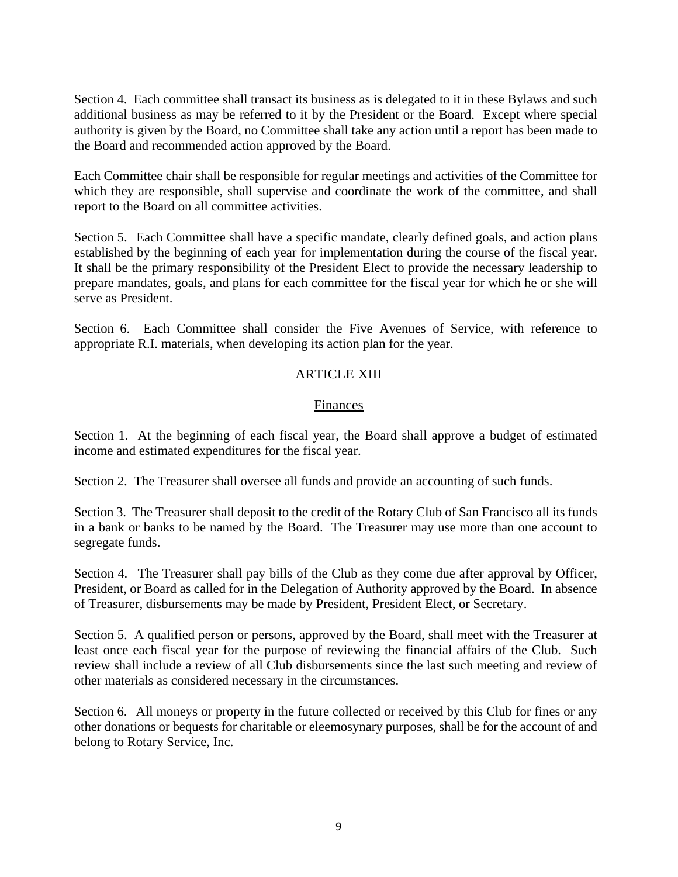Section 4. Each committee shall transact its business as is delegated to it in these Bylaws and such additional business as may be referred to it by the President or the Board. Except where special authority is given by the Board, no Committee shall take any action until a report has been made to the Board and recommended action approved by the Board.

Each Committee chair shall be responsible for regular meetings and activities of the Committee for which they are responsible, shall supervise and coordinate the work of the committee, and shall report to the Board on all committee activities.

Section 5. Each Committee shall have a specific mandate, clearly defined goals, and action plans established by the beginning of each year for implementation during the course of the fiscal year. It shall be the primary responsibility of the President Elect to provide the necessary leadership to prepare mandates, goals, and plans for each committee for the fiscal year for which he or she will serve as President.

Section 6. Each Committee shall consider the Five Avenues of Service, with reference to appropriate R.I. materials, when developing its action plan for the year.

# ARTICLE XIII

### **Finances**

Section 1. At the beginning of each fiscal year, the Board shall approve a budget of estimated income and estimated expenditures for the fiscal year.

Section 2. The Treasurer shall oversee all funds and provide an accounting of such funds.

Section 3. The Treasurer shall deposit to the credit of the Rotary Club of San Francisco all its funds in a bank or banks to be named by the Board. The Treasurer may use more than one account to segregate funds.

Section 4. The Treasurer shall pay bills of the Club as they come due after approval by Officer, President, or Board as called for in the Delegation of Authority approved by the Board. In absence of Treasurer, disbursements may be made by President, President Elect, or Secretary.

Section 5. A qualified person or persons, approved by the Board, shall meet with the Treasurer at least once each fiscal year for the purpose of reviewing the financial affairs of the Club. Such review shall include a review of all Club disbursements since the last such meeting and review of other materials as considered necessary in the circumstances.

Section 6. All moneys or property in the future collected or received by this Club for fines or any other donations or bequests for charitable or eleemosynary purposes, shall be for the account of and belong to Rotary Service, Inc.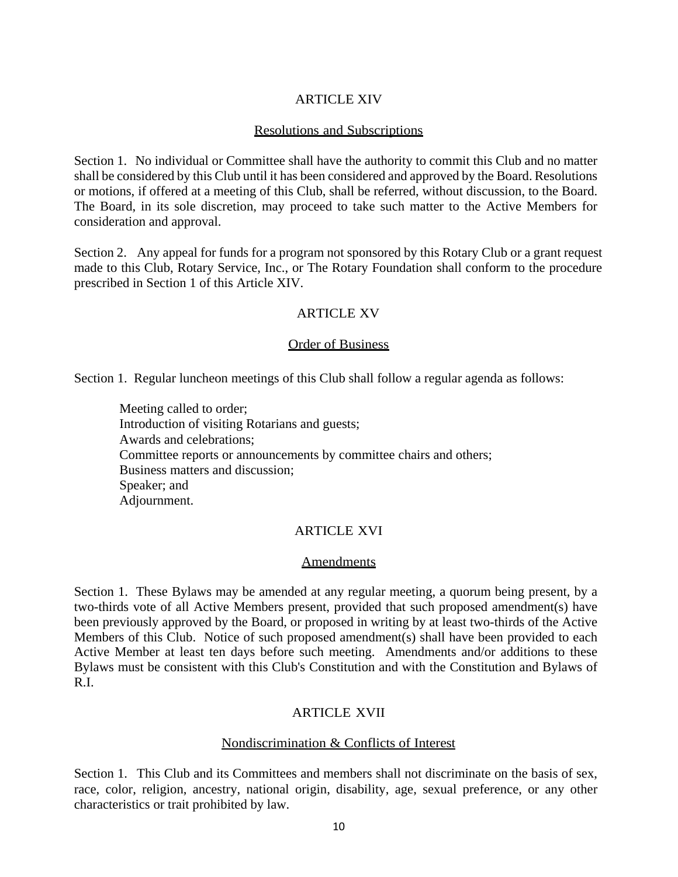# ARTICLE XIV

## Resolutions and Subscriptions

Section 1. No individual or Committee shall have the authority to commit this Club and no matter shall be considered by this Club until it has been considered and approved by the Board. Resolutions or motions, if offered at a meeting of this Club, shall be referred, without discussion, to the Board. The Board, in its sole discretion, may proceed to take such matter to the Active Members for consideration and approval.

Section 2. Any appeal for funds for a program not sponsored by this Rotary Club or a grant request made to this Club, Rotary Service, Inc., or The Rotary Foundation shall conform to the procedure prescribed in Section 1 of this Article XIV.

# ARTICLE XV

# Order of Business

Section 1. Regular luncheon meetings of this Club shall follow a regular agenda as follows:

Meeting called to order; Introduction of visiting Rotarians and guests; Awards and celebrations; Committee reports or announcements by committee chairs and others; Business matters and discussion; Speaker; and Adjournment.

# ARTICLE XVI

### Amendments

Section 1. These Bylaws may be amended at any regular meeting, a quorum being present, by a two-thirds vote of all Active Members present, provided that such proposed amendment(s) have been previously approved by the Board, or proposed in writing by at least two-thirds of the Active Members of this Club. Notice of such proposed amendment(s) shall have been provided to each Active Member at least ten days before such meeting. Amendments and/or additions to these Bylaws must be consistent with this Club's Constitution and with the Constitution and Bylaws of R.I.

# ARTICLE XVII

# Nondiscrimination & Conflicts of Interest

Section 1. This Club and its Committees and members shall not discriminate on the basis of sex, race, color, religion, ancestry, national origin, disability, age, sexual preference, or any other characteristics or trait prohibited by law.